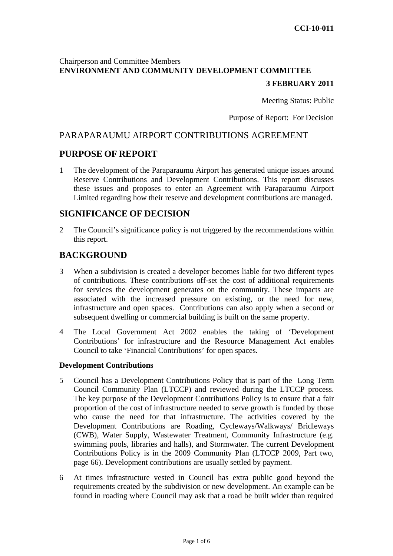# Chairperson and Committee Members **ENVIRONMENT AND COMMUNITY DEVELOPMENT COMMITTEE**

# **3 FEBRUARY 2011**

Meeting Status: Public

Purpose of Report: For Decision

# PARAPARAUMU AIRPORT CONTRIBUTIONS AGREEMENT

# **PURPOSE OF REPORT**

1 The development of the Paraparaumu Airport has generated unique issues around Reserve Contributions and Development Contributions. This report discusses these issues and proposes to enter an Agreement with Paraparaumu Airport Limited regarding how their reserve and development contributions are managed.

# **SIGNIFICANCE OF DECISION**

2 The Council's significance policy is not triggered by the recommendations within this report.

# **BACKGROUND**

- 3 When a subdivision is created a developer becomes liable for two different types of contributions. These contributions off-set the cost of additional requirements for services the development generates on the community. These impacts are associated with the increased pressure on existing, or the need for new, infrastructure and open spaces. Contributions can also apply when a second or subsequent dwelling or commercial building is built on the same property.
- 4 The Local Government Act 2002 enables the taking of 'Development Contributions' for infrastructure and the Resource Management Act enables Council to take 'Financial Contributions' for open spaces.

#### **Development Contributions**

- 5 Council has a Development Contributions Policy that is part of the Long Term Council Community Plan (LTCCP) and reviewed during the LTCCP process. The key purpose of the Development Contributions Policy is to ensure that a fair proportion of the cost of infrastructure needed to serve growth is funded by those who cause the need for that infrastructure. The activities covered by the Development Contributions are Roading, Cycleways/Walkways/ Bridleways (CWB), Water Supply, Wastewater Treatment, Community Infrastructure (e.g. swimming pools, libraries and halls), and Stormwater. The current Development Contributions Policy is in the 2009 Community Plan (LTCCP 2009, Part two, page 66). Development contributions are usually settled by payment.
- 6 At times infrastructure vested in Council has extra public good beyond the requirements created by the subdivision or new development. An example can be found in roading where Council may ask that a road be built wider than required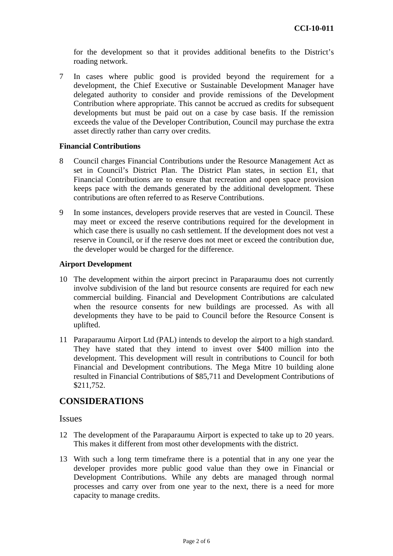for the development so that it provides additional benefits to the District's roading network.

7 In cases where public good is provided beyond the requirement for a development, the Chief Executive or Sustainable Development Manager have delegated authority to consider and provide remissions of the Development Contribution where appropriate. This cannot be accrued as credits for subsequent developments but must be paid out on a case by case basis. If the remission exceeds the value of the Developer Contribution, Council may purchase the extra asset directly rather than carry over credits.

#### **Financial Contributions**

- 8 Council charges Financial Contributions under the Resource Management Act as set in Council's District Plan. The District Plan states, in section E1, that Financial Contributions are to ensure that recreation and open space provision keeps pace with the demands generated by the additional development. These contributions are often referred to as Reserve Contributions.
- 9 In some instances, developers provide reserves that are vested in Council. These may meet or exceed the reserve contributions required for the development in which case there is usually no cash settlement. If the development does not vest a reserve in Council, or if the reserve does not meet or exceed the contribution due, the developer would be charged for the difference.

#### **Airport Development**

- 10 The development within the airport precinct in Paraparaumu does not currently involve subdivision of the land but resource consents are required for each new commercial building. Financial and Development Contributions are calculated when the resource consents for new buildings are processed. As with all developments they have to be paid to Council before the Resource Consent is uplifted.
- 11 Paraparaumu Airport Ltd (PAL) intends to develop the airport to a high standard. They have stated that they intend to invest over \$400 million into the development. This development will result in contributions to Council for both Financial and Development contributions. The Mega Mitre 10 building alone resulted in Financial Contributions of \$85,711 and Development Contributions of \$211,752.

## **CONSIDERATIONS**

#### Issues

- 12 The development of the Paraparaumu Airport is expected to take up to 20 years. This makes it different from most other developments with the district.
- 13 With such a long term timeframe there is a potential that in any one year the developer provides more public good value than they owe in Financial or Development Contributions. While any debts are managed through normal processes and carry over from one year to the next, there is a need for more capacity to manage credits.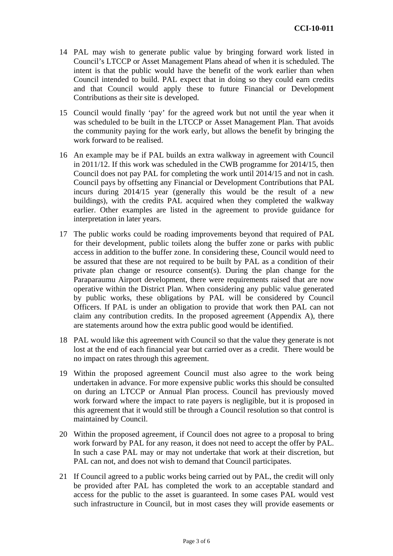- 14 PAL may wish to generate public value by bringing forward work listed in Council's LTCCP or Asset Management Plans ahead of when it is scheduled. The intent is that the public would have the benefit of the work earlier than when Council intended to build. PAL expect that in doing so they could earn credits and that Council would apply these to future Financial or Development Contributions as their site is developed.
- 15 Council would finally 'pay' for the agreed work but not until the year when it was scheduled to be built in the LTCCP or Asset Management Plan. That avoids the community paying for the work early, but allows the benefit by bringing the work forward to be realised.
- 16 An example may be if PAL builds an extra walkway in agreement with Council in 2011/12. If this work was scheduled in the CWB programme for 2014/15, then Council does not pay PAL for completing the work until 2014/15 and not in cash. Council pays by offsetting any Financial or Development Contributions that PAL incurs during 2014/15 year (generally this would be the result of a new buildings), with the credits PAL acquired when they completed the walkway earlier. Other examples are listed in the agreement to provide guidance for interpretation in later years.
- 17 The public works could be roading improvements beyond that required of PAL for their development, public toilets along the buffer zone or parks with public access in addition to the buffer zone. In considering these, Council would need to be assured that these are not required to be built by PAL as a condition of their private plan change or resource consent(s). During the plan change for the Paraparaumu Airport development, there were requirements raised that are now operative within the District Plan. When considering any public value generated by public works, these obligations by PAL will be considered by Council Officers. If PAL is under an obligation to provide that work then PAL can not claim any contribution credits. In the proposed agreement (Appendix A), there are statements around how the extra public good would be identified.
- 18 PAL would like this agreement with Council so that the value they generate is not lost at the end of each financial year but carried over as a credit. There would be no impact on rates through this agreement.
- 19 Within the proposed agreement Council must also agree to the work being undertaken in advance. For more expensive public works this should be consulted on during an LTCCP or Annual Plan process. Council has previously moved work forward where the impact to rate payers is negligible, but it is proposed in this agreement that it would still be through a Council resolution so that control is maintained by Council.
- 20 Within the proposed agreement, if Council does not agree to a proposal to bring work forward by PAL for any reason, it does not need to accept the offer by PAL. In such a case PAL may or may not undertake that work at their discretion, but PAL can not, and does not wish to demand that Council participates.
- 21 If Council agreed to a public works being carried out by PAL, the credit will only be provided after PAL has completed the work to an acceptable standard and access for the public to the asset is guaranteed. In some cases PAL would vest such infrastructure in Council, but in most cases they will provide easements or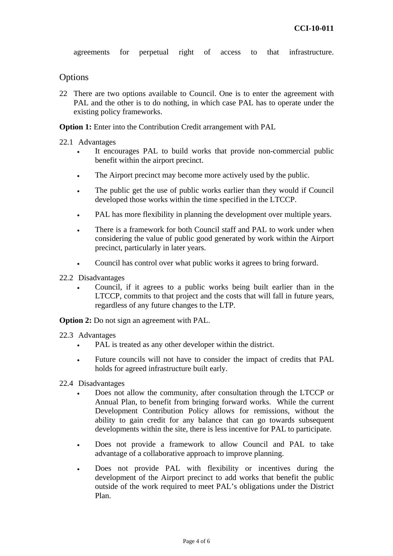agreements for perpetual right of access to that infrastructure.

### **Options**

22 There are two options available to Council. One is to enter the agreement with PAL and the other is to do nothing, in which case PAL has to operate under the existing policy frameworks.

**Option 1:** Enter into the Contribution Credit arrangement with PAL

#### 22.1 Advantages

- It encourages PAL to build works that provide non-commercial public benefit within the airport precinct.
- The Airport precinct may become more actively used by the public.
- The public get the use of public works earlier than they would if Council developed those works within the time specified in the LTCCP.
- PAL has more flexibility in planning the development over multiple years.
- There is a framework for both Council staff and PAL to work under when considering the value of public good generated by work within the Airport precinct, particularly in later years.
- Council has control over what public works it agrees to bring forward.
- 22.2 Disadvantages
	- Council, if it agrees to a public works being built earlier than in the LTCCP, commits to that project and the costs that will fall in future years, regardless of any future changes to the LTP.

**Option 2:** Do not sign an agreement with PAL.

- 22.3 Advantages
	- PAL is treated as any other developer within the district.
	- Future councils will not have to consider the impact of credits that PAL holds for agreed infrastructure built early.
- 22.4 Disadvantages
	- Does not allow the community, after consultation through the LTCCP or Annual Plan, to benefit from bringing forward works. While the current Development Contribution Policy allows for remissions, without the ability to gain credit for any balance that can go towards subsequent developments within the site, there is less incentive for PAL to participate.
	- Does not provide a framework to allow Council and PAL to take advantage of a collaborative approach to improve planning.
	- Does not provide PAL with flexibility or incentives during the development of the Airport precinct to add works that benefit the public outside of the work required to meet PAL's obligations under the District Plan.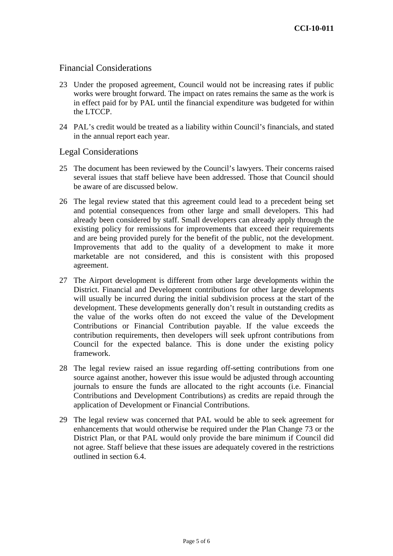# Financial Considerations

- 23 Under the proposed agreement, Council would not be increasing rates if public works were brought forward. The impact on rates remains the same as the work is in effect paid for by PAL until the financial expenditure was budgeted for within the LTCCP.
- 24 PAL's credit would be treated as a liability within Council's financials, and stated in the annual report each year.

Legal Considerations

- 25 The document has been reviewed by the Council's lawyers. Their concerns raised several issues that staff believe have been addressed. Those that Council should be aware of are discussed below.
- 26 The legal review stated that this agreement could lead to a precedent being set and potential consequences from other large and small developers. This had already been considered by staff. Small developers can already apply through the existing policy for remissions for improvements that exceed their requirements and are being provided purely for the benefit of the public, not the development. Improvements that add to the quality of a development to make it more marketable are not considered, and this is consistent with this proposed agreement.
- 27 The Airport development is different from other large developments within the District. Financial and Development contributions for other large developments will usually be incurred during the initial subdivision process at the start of the development. These developments generally don't result in outstanding credits as the value of the works often do not exceed the value of the Development Contributions or Financial Contribution payable. If the value exceeds the contribution requirements, then developers will seek upfront contributions from Council for the expected balance. This is done under the existing policy framework.
- 28 The legal review raised an issue regarding off-setting contributions from one source against another, however this issue would be adjusted through accounting journals to ensure the funds are allocated to the right accounts (i.e. Financial Contributions and Development Contributions) as credits are repaid through the application of Development or Financial Contributions.
- 29 The legal review was concerned that PAL would be able to seek agreement for enhancements that would otherwise be required under the Plan Change 73 or the District Plan, or that PAL would only provide the bare minimum if Council did not agree. Staff believe that these issues are adequately covered in the restrictions outlined in section 6.4.